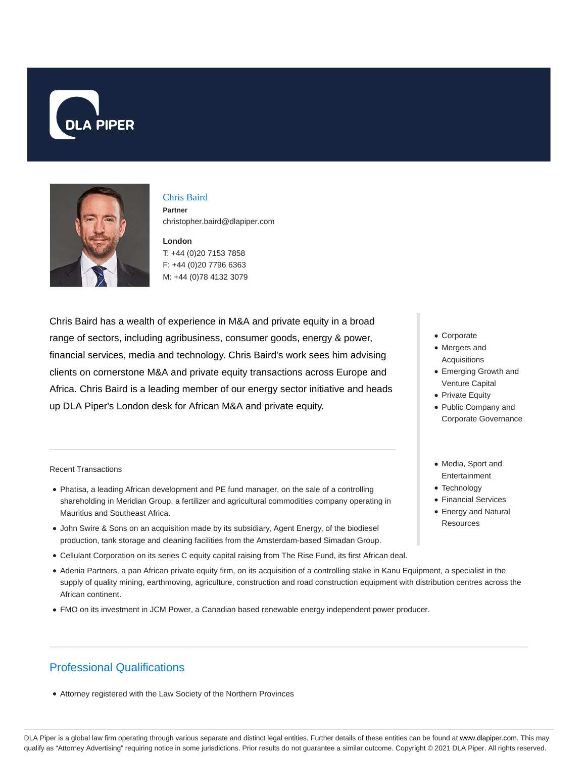



#### Chris Baird

**Partner** christopher.baird@dlapiper.com

# **London**

T: +44 (0)20 7153 7858 F: +44 (0)20 7796 6363 M: +44 (0)78 4132 3079

Chris Baird has a wealth of experience in M&A and private equity in a broad range of sectors, including agribusiness, consumer goods, energy & power, financial services, media and technology. Chris Baird's work sees him advising clients on cornerstone M&A and private equity transactions across Europe and Africa. Chris Baird is a leading member of our energy sector initiative and heads up DLA Piper's London desk for African M&A and private equity.

Recent Transactions

- Phatisa, a leading African development and PE fund manager, on the sale of a controlling shareholding in Meridian Group, a fertilizer and agricultural commodities company operating in Mauritius and Southeast Africa.
- John Swire & Sons on an acquisition made by its subsidiary, Agent Energy, of the biodiesel production, tank storage and cleaning facilities from the Amsterdam-based Simadan Group.
- Cellulant Corporation on its series C equity capital raising from The Rise Fund, its first African deal.
- Adenia Partners, a pan African private equity firm, on its acquisition of a controlling stake in Kanu Equipment, a specialist in the supply of quality mining, earthmoving, agriculture, construction and road construction equipment with distribution centres across the African continent.
- FMO on its investment in JCM Power, a Canadian based renewable energy independent power producer.

# Professional Qualifications

Attorney registered with the Law Society of the Northern Provinces

- Corporate
- Mergers and **Acquisitions**
- Emerging Growth and Venture Capital
- Private Equity
- Public Company and Corporate Governance
- Media, Sport and Entertainment
- Technology
- Financial Services
- Energy and Natural Resources